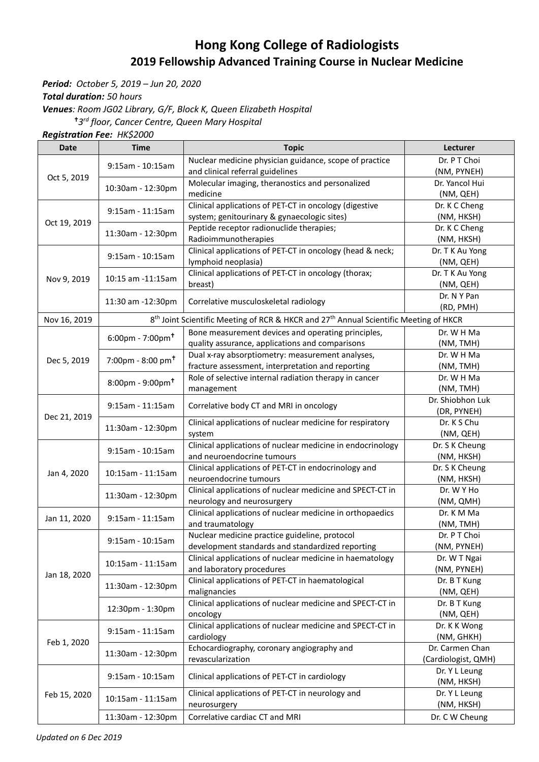## **Hong Kong College of Radiologists 2019 Fellowship Advanced Training Course in Nuclear Medicine**

*Period: October 5, 2019 – Jun 20, 2020*

*Total duration: 50 hours*

*Venues: Room JG02 Library, G/F, Block K, Queen Elizabeth Hospital*

*3 rd floor, Cancer Centre, Queen Mary Hospital* 

*Registration Fee: HK\$2000*

| <b>Date</b>  | Time                                | <b>Topic</b>                                                                                                                                                                                                                                                                                                                                                                                                                                                                                                                                                                                                                                                                                                                                                                                                                                                                                                                                                                                                                                                                                                                                                                                                                                                                                                                        | <b>Lecturer</b>     |
|--------------|-------------------------------------|-------------------------------------------------------------------------------------------------------------------------------------------------------------------------------------------------------------------------------------------------------------------------------------------------------------------------------------------------------------------------------------------------------------------------------------------------------------------------------------------------------------------------------------------------------------------------------------------------------------------------------------------------------------------------------------------------------------------------------------------------------------------------------------------------------------------------------------------------------------------------------------------------------------------------------------------------------------------------------------------------------------------------------------------------------------------------------------------------------------------------------------------------------------------------------------------------------------------------------------------------------------------------------------------------------------------------------------|---------------------|
|              |                                     | Nuclear medicine physician guidance, scope of practice                                                                                                                                                                                                                                                                                                                                                                                                                                                                                                                                                                                                                                                                                                                                                                                                                                                                                                                                                                                                                                                                                                                                                                                                                                                                              | Dr. P T Choi        |
|              | 9:15am - 10:15am                    | and clinical referral guidelines                                                                                                                                                                                                                                                                                                                                                                                                                                                                                                                                                                                                                                                                                                                                                                                                                                                                                                                                                                                                                                                                                                                                                                                                                                                                                                    | (NM, PYNEH)         |
| Oct 5, 2019  | 10:30am - 12:30pm                   | Molecular imaging, theranostics and personalized                                                                                                                                                                                                                                                                                                                                                                                                                                                                                                                                                                                                                                                                                                                                                                                                                                                                                                                                                                                                                                                                                                                                                                                                                                                                                    | Dr. Yancol Hui      |
|              |                                     | medicine                                                                                                                                                                                                                                                                                                                                                                                                                                                                                                                                                                                                                                                                                                                                                                                                                                                                                                                                                                                                                                                                                                                                                                                                                                                                                                                            | (NM, QEH)           |
|              |                                     | Clinical applications of PET-CT in oncology (digestive                                                                                                                                                                                                                                                                                                                                                                                                                                                                                                                                                                                                                                                                                                                                                                                                                                                                                                                                                                                                                                                                                                                                                                                                                                                                              | Dr. K C Cheng       |
|              | 9:15am - 11:15am                    |                                                                                                                                                                                                                                                                                                                                                                                                                                                                                                                                                                                                                                                                                                                                                                                                                                                                                                                                                                                                                                                                                                                                                                                                                                                                                                                                     | (NM, HKSH)          |
| Oct 19, 2019 | 11:30am - 12:30pm                   |                                                                                                                                                                                                                                                                                                                                                                                                                                                                                                                                                                                                                                                                                                                                                                                                                                                                                                                                                                                                                                                                                                                                                                                                                                                                                                                                     | Dr. K C Cheng       |
|              |                                     |                                                                                                                                                                                                                                                                                                                                                                                                                                                                                                                                                                                                                                                                                                                                                                                                                                                                                                                                                                                                                                                                                                                                                                                                                                                                                                                                     | (NM, HKSH)          |
| Nov 9, 2019  | 9:15am - 10:15am                    |                                                                                                                                                                                                                                                                                                                                                                                                                                                                                                                                                                                                                                                                                                                                                                                                                                                                                                                                                                                                                                                                                                                                                                                                                                                                                                                                     | Dr. T K Au Yong     |
|              |                                     |                                                                                                                                                                                                                                                                                                                                                                                                                                                                                                                                                                                                                                                                                                                                                                                                                                                                                                                                                                                                                                                                                                                                                                                                                                                                                                                                     | (NM, QEH)           |
|              | 10:15 am -11:15am                   |                                                                                                                                                                                                                                                                                                                                                                                                                                                                                                                                                                                                                                                                                                                                                                                                                                                                                                                                                                                                                                                                                                                                                                                                                                                                                                                                     | Dr. T K Au Yong     |
|              |                                     |                                                                                                                                                                                                                                                                                                                                                                                                                                                                                                                                                                                                                                                                                                                                                                                                                                                                                                                                                                                                                                                                                                                                                                                                                                                                                                                                     | (NM, QEH)           |
|              | 11:30 am -12:30pm                   | Correlative musculoskeletal radiology                                                                                                                                                                                                                                                                                                                                                                                                                                                                                                                                                                                                                                                                                                                                                                                                                                                                                                                                                                                                                                                                                                                                                                                                                                                                                               | Dr. N Y Pan         |
|              |                                     |                                                                                                                                                                                                                                                                                                                                                                                                                                                                                                                                                                                                                                                                                                                                                                                                                                                                                                                                                                                                                                                                                                                                                                                                                                                                                                                                     | (RD, PMH)           |
| Nov 16, 2019 |                                     |                                                                                                                                                                                                                                                                                                                                                                                                                                                                                                                                                                                                                                                                                                                                                                                                                                                                                                                                                                                                                                                                                                                                                                                                                                                                                                                                     |                     |
|              | $6:00 \text{pm} - 7:00 \text{pm} +$ |                                                                                                                                                                                                                                                                                                                                                                                                                                                                                                                                                                                                                                                                                                                                                                                                                                                                                                                                                                                                                                                                                                                                                                                                                                                                                                                                     | Dr. W H Ma          |
|              |                                     |                                                                                                                                                                                                                                                                                                                                                                                                                                                                                                                                                                                                                                                                                                                                                                                                                                                                                                                                                                                                                                                                                                                                                                                                                                                                                                                                     | (NM, TMH)           |
|              |                                     |                                                                                                                                                                                                                                                                                                                                                                                                                                                                                                                                                                                                                                                                                                                                                                                                                                                                                                                                                                                                                                                                                                                                                                                                                                                                                                                                     | Dr. W H Ma          |
| Dec 5, 2019  | 7:00pm - 8:00 pm <sup>+</sup>       |                                                                                                                                                                                                                                                                                                                                                                                                                                                                                                                                                                                                                                                                                                                                                                                                                                                                                                                                                                                                                                                                                                                                                                                                                                                                                                                                     | (NM, TMH)           |
|              |                                     |                                                                                                                                                                                                                                                                                                                                                                                                                                                                                                                                                                                                                                                                                                                                                                                                                                                                                                                                                                                                                                                                                                                                                                                                                                                                                                                                     | Dr. W H Ma          |
|              |                                     |                                                                                                                                                                                                                                                                                                                                                                                                                                                                                                                                                                                                                                                                                                                                                                                                                                                                                                                                                                                                                                                                                                                                                                                                                                                                                                                                     | (NM, TMH)           |
|              |                                     |                                                                                                                                                                                                                                                                                                                                                                                                                                                                                                                                                                                                                                                                                                                                                                                                                                                                                                                                                                                                                                                                                                                                                                                                                                                                                                                                     | Dr. Shiobhon Luk    |
|              | 9:15am - 11:15am                    |                                                                                                                                                                                                                                                                                                                                                                                                                                                                                                                                                                                                                                                                                                                                                                                                                                                                                                                                                                                                                                                                                                                                                                                                                                                                                                                                     | (DR, PYNEH)         |
| Dec 21, 2019 | 11:30am - 12:30pm                   |                                                                                                                                                                                                                                                                                                                                                                                                                                                                                                                                                                                                                                                                                                                                                                                                                                                                                                                                                                                                                                                                                                                                                                                                                                                                                                                                     | Dr. K S Chu         |
|              |                                     |                                                                                                                                                                                                                                                                                                                                                                                                                                                                                                                                                                                                                                                                                                                                                                                                                                                                                                                                                                                                                                                                                                                                                                                                                                                                                                                                     | (NM, QEH)           |
|              | 9:15am - 10:15am                    | Clinical applications of nuclear medicine in endocrinology                                                                                                                                                                                                                                                                                                                                                                                                                                                                                                                                                                                                                                                                                                                                                                                                                                                                                                                                                                                                                                                                                                                                                                                                                                                                          | Dr. S K Cheung      |
|              |                                     | and neuroendocrine tumours                                                                                                                                                                                                                                                                                                                                                                                                                                                                                                                                                                                                                                                                                                                                                                                                                                                                                                                                                                                                                                                                                                                                                                                                                                                                                                          | (NM, HKSH)          |
|              | 10:15am - 11:15am                   | Clinical applications of PET-CT in endocrinology and                                                                                                                                                                                                                                                                                                                                                                                                                                                                                                                                                                                                                                                                                                                                                                                                                                                                                                                                                                                                                                                                                                                                                                                                                                                                                | Dr. S K Cheung      |
| Jan 4, 2020  |                                     | neuroendocrine tumours                                                                                                                                                                                                                                                                                                                                                                                                                                                                                                                                                                                                                                                                                                                                                                                                                                                                                                                                                                                                                                                                                                                                                                                                                                                                                                              | (NM, HKSH)          |
|              |                                     | Clinical applications of nuclear medicine and SPECT-CT in                                                                                                                                                                                                                                                                                                                                                                                                                                                                                                                                                                                                                                                                                                                                                                                                                                                                                                                                                                                                                                                                                                                                                                                                                                                                           | Dr. W Y Ho          |
|              |                                     | neurology and neurosurgery                                                                                                                                                                                                                                                                                                                                                                                                                                                                                                                                                                                                                                                                                                                                                                                                                                                                                                                                                                                                                                                                                                                                                                                                                                                                                                          | (NM, QMH)           |
| Jan 11, 2020 |                                     | Clinical applications of nuclear medicine in orthopaedics                                                                                                                                                                                                                                                                                                                                                                                                                                                                                                                                                                                                                                                                                                                                                                                                                                                                                                                                                                                                                                                                                                                                                                                                                                                                           | Dr. K M Ma          |
|              |                                     | and traumatology                                                                                                                                                                                                                                                                                                                                                                                                                                                                                                                                                                                                                                                                                                                                                                                                                                                                                                                                                                                                                                                                                                                                                                                                                                                                                                                    | (NM, TMH)           |
|              |                                     | system; genitourinary & gynaecologic sites)<br>Peptide receptor radionuclide therapies;<br>Radioimmunotherapies<br>Clinical applications of PET-CT in oncology (head & neck;<br>lymphoid neoplasia)<br>Clinical applications of PET-CT in oncology (thorax;<br>breast)<br>Bone measurement devices and operating principles,<br>quality assurance, applications and comparisons<br>Dual x-ray absorptiometry: measurement analyses,<br>fracture assessment, interpretation and reporting<br>Role of selective internal radiation therapy in cancer<br>management<br>Correlative body CT and MRI in oncology<br>Clinical applications of nuclear medicine for respiratory<br>system<br>Nuclear medicine practice guideline, protocol<br>development standards and standardized reporting<br>Clinical applications of nuclear medicine in haematology<br>and laboratory procedures<br>Clinical applications of PET-CT in haematological<br>malignancies<br>Clinical applications of nuclear medicine and SPECT-CT in<br>oncology<br>Clinical applications of nuclear medicine and SPECT-CT in<br>cardiology<br>Echocardiography, coronary angiography and<br>revascularization<br>Clinical applications of PET-CT in cardiology<br>Clinical applications of PET-CT in neurology and<br>neurosurgery<br>Correlative cardiac CT and MRI | Dr. P T Choi        |
|              |                                     |                                                                                                                                                                                                                                                                                                                                                                                                                                                                                                                                                                                                                                                                                                                                                                                                                                                                                                                                                                                                                                                                                                                                                                                                                                                                                                                                     | (NM, PYNEH)         |
|              |                                     | 8 <sup>th</sup> Joint Scientific Meeting of RCR & HKCR and 27 <sup>th</sup> Annual Scientific Meeting of HKCR<br>$8:00$ pm - 9:00pm <sup>+</sup><br>11:30am - 12:30pm<br>9:15am - 11:15am<br>9:15am - 10:15am<br>10:15am - 11:15am                                                                                                                                                                                                                                                                                                                                                                                                                                                                                                                                                                                                                                                                                                                                                                                                                                                                                                                                                                                                                                                                                                  | Dr. W T Ngai        |
| Jan 18, 2020 |                                     |                                                                                                                                                                                                                                                                                                                                                                                                                                                                                                                                                                                                                                                                                                                                                                                                                                                                                                                                                                                                                                                                                                                                                                                                                                                                                                                                     | (NM, PYNEH)         |
|              | 11:30am - 12:30pm                   |                                                                                                                                                                                                                                                                                                                                                                                                                                                                                                                                                                                                                                                                                                                                                                                                                                                                                                                                                                                                                                                                                                                                                                                                                                                                                                                                     | Dr. B T Kung        |
|              |                                     |                                                                                                                                                                                                                                                                                                                                                                                                                                                                                                                                                                                                                                                                                                                                                                                                                                                                                                                                                                                                                                                                                                                                                                                                                                                                                                                                     | (NM, QEH)           |
|              | 12:30pm - 1:30pm                    |                                                                                                                                                                                                                                                                                                                                                                                                                                                                                                                                                                                                                                                                                                                                                                                                                                                                                                                                                                                                                                                                                                                                                                                                                                                                                                                                     | Dr. B T Kung        |
|              |                                     |                                                                                                                                                                                                                                                                                                                                                                                                                                                                                                                                                                                                                                                                                                                                                                                                                                                                                                                                                                                                                                                                                                                                                                                                                                                                                                                                     | (NM, QEH)           |
|              | 9:15am - 11:15am                    |                                                                                                                                                                                                                                                                                                                                                                                                                                                                                                                                                                                                                                                                                                                                                                                                                                                                                                                                                                                                                                                                                                                                                                                                                                                                                                                                     | Dr. K K Wong        |
| Feb 1, 2020  |                                     |                                                                                                                                                                                                                                                                                                                                                                                                                                                                                                                                                                                                                                                                                                                                                                                                                                                                                                                                                                                                                                                                                                                                                                                                                                                                                                                                     | (NM, GHKH)          |
|              | 11:30am - 12:30pm                   |                                                                                                                                                                                                                                                                                                                                                                                                                                                                                                                                                                                                                                                                                                                                                                                                                                                                                                                                                                                                                                                                                                                                                                                                                                                                                                                                     | Dr. Carmen Chan     |
|              |                                     |                                                                                                                                                                                                                                                                                                                                                                                                                                                                                                                                                                                                                                                                                                                                                                                                                                                                                                                                                                                                                                                                                                                                                                                                                                                                                                                                     | (Cardiologist, QMH) |
| Feb 15, 2020 | 9:15am - 10:15am                    |                                                                                                                                                                                                                                                                                                                                                                                                                                                                                                                                                                                                                                                                                                                                                                                                                                                                                                                                                                                                                                                                                                                                                                                                                                                                                                                                     | Dr. Y L Leung       |
|              |                                     |                                                                                                                                                                                                                                                                                                                                                                                                                                                                                                                                                                                                                                                                                                                                                                                                                                                                                                                                                                                                                                                                                                                                                                                                                                                                                                                                     | (NM, HKSH)          |
|              | 10:15am - 11:15am                   |                                                                                                                                                                                                                                                                                                                                                                                                                                                                                                                                                                                                                                                                                                                                                                                                                                                                                                                                                                                                                                                                                                                                                                                                                                                                                                                                     | Dr. Y L Leung       |
|              |                                     |                                                                                                                                                                                                                                                                                                                                                                                                                                                                                                                                                                                                                                                                                                                                                                                                                                                                                                                                                                                                                                                                                                                                                                                                                                                                                                                                     | (NM, HKSH)          |
|              | 11:30am - 12:30pm                   |                                                                                                                                                                                                                                                                                                                                                                                                                                                                                                                                                                                                                                                                                                                                                                                                                                                                                                                                                                                                                                                                                                                                                                                                                                                                                                                                     | Dr. C W Cheung      |